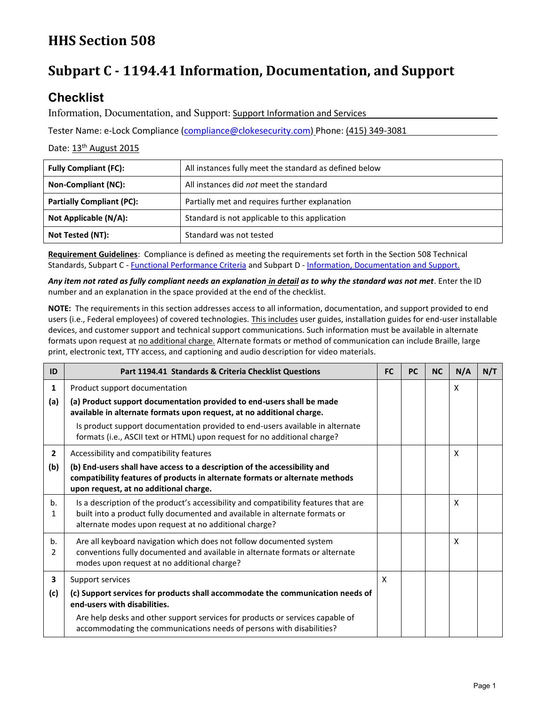# **HHS Section 508**

## **Subpart C - 1194.41 Information, Documentation, and Support**

## **Checklist**

Information, Documentation, and Support: Support Information and Services

Tester Name: e-Lock Compliance [\(compliance@clokesecurity.com\)](mailto:compliance@clokesecurity.com) Phone: (415) 349-3081

### Date: 13<sup>th</sup> August 2015

| <b>Fully Compliant (FC):</b>     | All instances fully meet the standard as defined below |  |  |
|----------------------------------|--------------------------------------------------------|--|--|
| Non-Compliant (NC):              | All instances did not meet the standard                |  |  |
| <b>Partially Compliant (PC):</b> | Partially met and requires further explanation         |  |  |
| Not Applicable (N/A):            | Standard is not applicable to this application         |  |  |
| Not Tested (NT):                 | Standard was not tested                                |  |  |

**Requirement Guidelines**: Compliance is defined as meeting the requirements set forth in the Section 508 Technical Standards, Subpart C - [Functional Performance Criteria](http://www.access-board.gov/sec508/standards.htm#Subpart_c) and Subpart D - [Information, Documentation and Support.](http://www.access-board.gov/sec508/standards.htm#Subpart_d)

*Any item not rated as fully compliant needs an explanation in detail as to why the standard was not met*. Enter the ID number and an explanation in the space provided at the end of the checklist.

**NOTE:** The requirements in this section addresses access to all information, documentation, and support provided to end users (i.e., Federal employees) of covered technologies. This includes user guides, installation guides for end-user installable devices, and customer support and technical support communications. Such information must be available in alternate formats upon request at no additional charge. Alternate formats or method of communication can include Braille, large print, electronic text, TTY access, and captioning and audio description for video materials.

| ID                  | Part 1194.41 Standards & Criteria Checklist Questions                                                                                                                                                                       |   | <b>PC</b> | <b>NC</b> | N/A | N/T |
|---------------------|-----------------------------------------------------------------------------------------------------------------------------------------------------------------------------------------------------------------------------|---|-----------|-----------|-----|-----|
| $\mathbf{1}$        | Product support documentation                                                                                                                                                                                               |   |           |           | X   |     |
| (a)                 | (a) Product support documentation provided to end-users shall be made<br>available in alternate formats upon request, at no additional charge.                                                                              |   |           |           |     |     |
|                     | Is product support documentation provided to end-users available in alternate<br>formats (i.e., ASCII text or HTML) upon request for no additional charge?                                                                  |   |           |           |     |     |
| $\overline{2}$      | Accessibility and compatibility features                                                                                                                                                                                    |   |           |           | X   |     |
| (b)                 | (b) End-users shall have access to a description of the accessibility and<br>compatibility features of products in alternate formats or alternate methods<br>upon request, at no additional charge.                         |   |           |           |     |     |
| b.<br>1             | Is a description of the product's accessibility and compatibility features that are<br>built into a product fully documented and available in alternate formats or<br>alternate modes upon request at no additional charge? |   |           |           | X   |     |
| b.<br>$\mathcal{P}$ | Are all keyboard navigation which does not follow documented system<br>conventions fully documented and available in alternate formats or alternate<br>modes upon request at no additional charge?                          |   |           |           | X   |     |
| 3                   | Support services                                                                                                                                                                                                            | x |           |           |     |     |
| (c)                 | (c) Support services for products shall accommodate the communication needs of<br>end-users with disabilities.                                                                                                              |   |           |           |     |     |
|                     | Are help desks and other support services for products or services capable of<br>accommodating the communications needs of persons with disabilities?                                                                       |   |           |           |     |     |